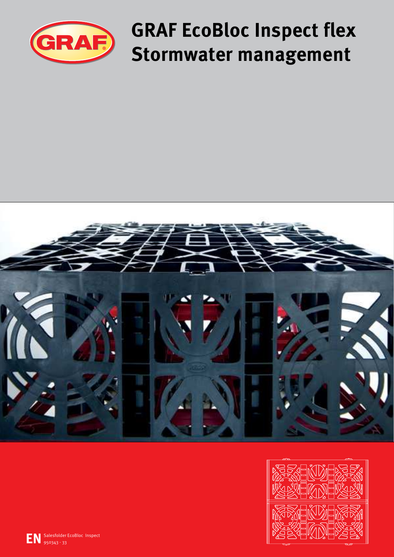

**GRAF EcoBloc Inspect flex Stormwater management**



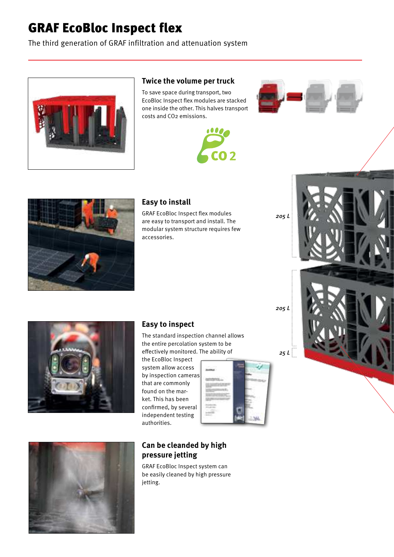# GRAF EcoBloc Inspect flex

The third generation of GRAF infiltration and attenuation system



# **Twice the volume per truck**

To save space during transport, two EcoBloc Inspect flex modules are stacked one inside the other. This halves transport costs and CO2 emissions.







# **Easy to install**

GRAF EcoBloc Inspect flex modules are easy to transport and install. The modular system structure requires few accessories.





# **Easy to inspect**

The standard inspection channel allows the entire percolation system to be effectively monitored. The ability of

the EcoBloc Inspect system allow access by inspection cameras that are commonly found on the market. This has been confirmed, by several independent testing authorities.



*205 L*

*25 L*

*205 L*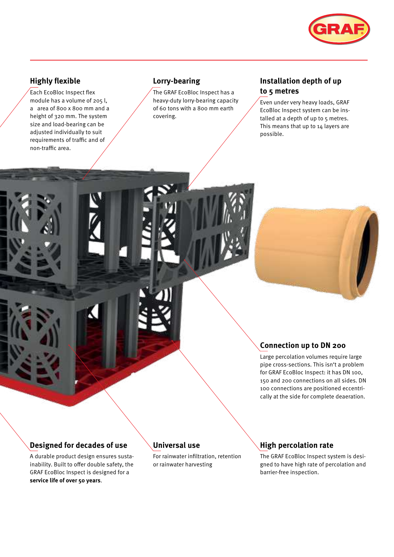

# **Highly flexible**

Each EcoBloc Inspect flex module has a volume of 205 l, a area of 800 x 800 mm and a height of 320 mm. The system size and load-bearing can be adjusted individually to suit requirements of traffic and of non-traffic area.

# **Lorry-bearing**

The GRAF EcoBloc Inspect has a heavy-duty lorry-bearing capacity of 60 tons with a 800 mm earth covering.

# **Installation depth of up to 5 metres**

Even under very heavy loads, GRAF EcoBloc Inspect system can be installed at a depth of up to 5 metres. This means that up to 14 layers are possible.

# **Connection up to DN 200**

Large percolation volumes require large pipe cross-sections. This isn't a problem for GRAF EcoBloc Inspect: it has DN 100, 150 and 200 connections on all sides. DN 100 connections are positioned eccentrically at the side for complete deaeration.

# **Designed for decades of use**

A durable product design ensures sustainability. Built to offer double safety, the GRAF EcoBloc Inspect is designed for a **service life of over 50 years**.

# **Universal use**

For rainwater infiltration, retention or rainwater harvesting

# **High percolation rate**

The GRAF EcoBloc Inspect system is designed to have high rate of percolation and barrier-free inspection.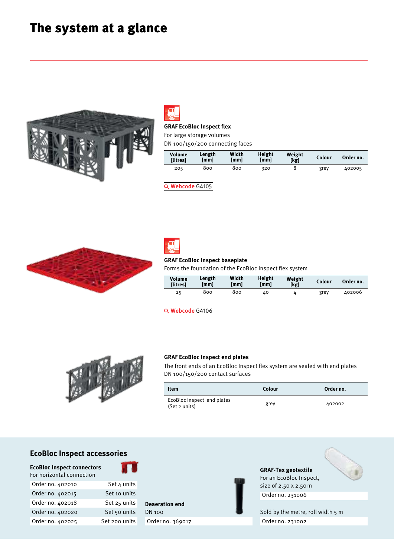# The system at a glance





# **GRAF EcoBloc Inspect flex**

For large storage volumes

|  | DN 100/150/200 connecting faces |
|--|---------------------------------|
|--|---------------------------------|

| Volume<br><b>Ilitres1</b> | Length<br>[mm] | Width<br>[mm] | Height<br>[mm] | Weight<br>[kg] | Colour | Order no. |
|---------------------------|----------------|---------------|----------------|----------------|--------|-----------|
| 205                       | 800            | 800           | 320            |                | grey   | 402005    |

Q Webcode G4105





#### **GRAF EcoBloc Inspect baseplate**

Forms the foundation of the EcoBloc Inspect flex system

| Volume<br><b>Ilitres1</b> | Length<br>[mm] | Width<br>[mm] | <b>Height</b><br>[mm] | Weight<br>[kg] | Colour | Order no. |
|---------------------------|----------------|---------------|-----------------------|----------------|--------|-----------|
| 25                        | 800            | 800           | 40                    |                | grey   | 402006    |

Q Webcode G4106



#### **GRAF EcoBloc Inspect end plates**

The front ends of an EcoBloc Inspect flex system are sealed with end plates DN 100/150/200 contact surfaces

| Item                                        | Colour | Order no. |
|---------------------------------------------|--------|-----------|
| EcoBloc Inspect end plates<br>(Set 2 units) | grev   | 402002    |

# **EcoBloc Inspect accessories**

**EcoBloc Inspect connectors** 



Order no. 402015 Set 10 units Order no. 402018 Set 25 units Order no. 402020 Set 50 units Order no. 402025 Set 200 units DN 100 Order no. 369017



**GRAF-Tex geotextile** For an EcoBloc Inspect, size of 2.50 x 2.50 m Order no. 231006

Sold by the metre, roll width 5 m Order no. 231002

# For horizontal connection

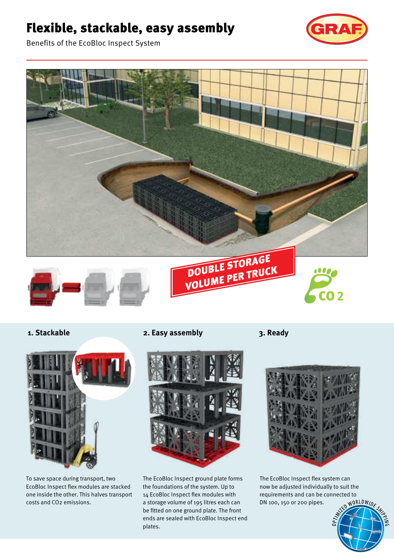# Flexible, stackable, easy assembly



Benefits of the EcoBloc Inspect System





To save space during transport, two EcoBloc Inspect flex modules are stacked one inside the other. This halves transport costs and CO2 emissions.

**1. Stackable 2. Easy assembly 3. Ready**



The EcoBloc Inspect ground plate forms the foundations of the system. Up to 14 EcoBloc Inspect flex modules with a storage volume of 195 litres each can be fitted on one ground plate. The front ends are sealed with EcoBloc Inspect end plates.



The EcoBloc Inspect flex system can now be adjusted individually to suit the requirements and can be connected to DN 100, 150 or 200 pipes.

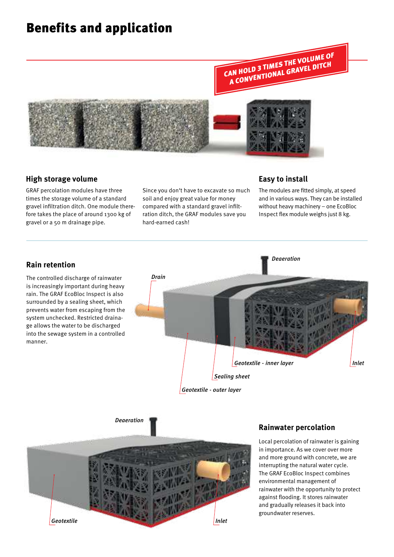# Benefits and application



# **High storage volume**

GRAF percolation modules have three times the storage volume of a standard gravel infiltration ditch. One module therefore takes the place of around 1300 kg of gravel or a 50 m drainage pipe.

Since you don't have to excavate so much soil and enjoy great value for money compared with a standard gravel infiltration ditch, the GRAF modules save you hard-earned cash!

# **Easy to install**

The modules are fitted simply, at speed and in various ways. They can be installed without heavy machinery – one EcoBloc Inspect flex module weighs just 8 kg.





# **Rainwater percolation**

Local percolation of rainwater is gaining in importance. As we cover over more and more ground with concrete, we are interrupting the natural water cycle. The GRAF EcoBloc Inspect combines environmental management of rainwater with the opportunity to protect against flooding. It stores rainwater and gradually releases it back into groundwater reserves.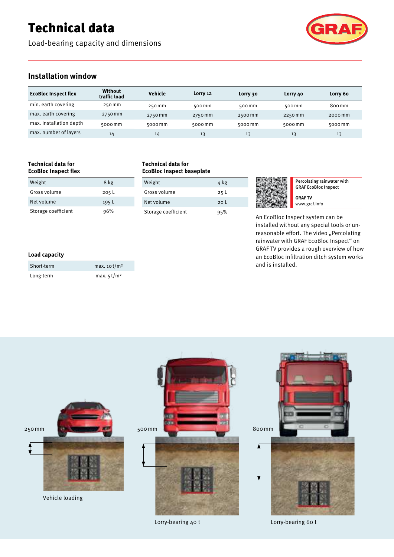# Technical data

Load-bearing capacity and dimensions



# **Installation window**

| <b>EcoBloc Inspect flex</b> | <b>Without</b><br>traffic load | Vehicle | Lorry 12 | Lorry 30 | Lorry 40 | Lorry 60          |
|-----------------------------|--------------------------------|---------|----------|----------|----------|-------------------|
| min. earth covering         | 250 mm                         | 250 mm  | 500 mm   | 500 mm   | 500 mm   | 800 <sub>mm</sub> |
| max. earth covering         | 2750 mm                        | 2750 mm | 2750 mm  | 2500 mm  | 2250 mm  | 2000 mm           |
| max. installation depth     | 5000 mm                        | 5000 mm | 5000 mm  | 5000 mm  | 5000 mm  | 5000 mm           |
| max. number of layers       | 14                             | 14      | 13       | 13       | 13       | 13                |

#### **Technical data for EcoBloc Inspect flex**

| <b>LLANDIAL IIISNELL IIEV</b> |       |  |
|-------------------------------|-------|--|
| Weight                        | 8 kg  |  |
| Gross volume                  | 205L  |  |
| Net volume                    | 195 L |  |
| Storage coefficient           | 96%   |  |

#### **Technical data for EcoBloc Inspect baseplate**

| Weight              | 4 kg            |
|---------------------|-----------------|
| Gross volume        | 25 <sub>L</sub> |
| Net volume          | 20 <sup>1</sup> |
| Storage coefficient | 95%             |



Percolating rainwater with GRAF EcoBloc Inspect **GRAF TV** www.graf.info

An EcoBloc Inspect system can be installed without any special tools or unreasonable effort. The video "Percolating rainwater with GRAF EcoBloc Inspect" on GRAF TV provides a rough overview of how an EcoBloc infiltration ditch system works and is installed.

### **Load capacity**

| Short-term | max. $10^{1}/m^2$ |
|------------|-------------------|
| Long-term  | max. $5t/m^2$     |



Lorry-bearing 40 t

Lorry-bearing 60 t